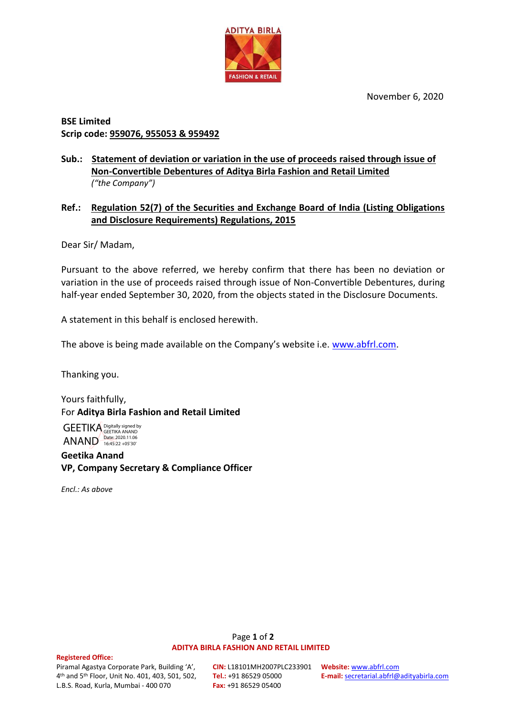November 6, 2020



# **BSE Limited Scrip code: 959076, 955053 & 959492**

## **Sub.: Statement of deviation or variation in the use of proceeds raised through issue of Non-Convertible Debentures of Aditya Birla Fashion and Retail Limited** *("the Company")*

# **Ref.: Regulation 52(7) of the Securities and Exchange Board of India (Listing Obligations and Disclosure Requirements) Regulations, 2015**

Dear Sir/ Madam,

Pursuant to the above referred, we hereby confirm that there has been no deviation or variation in the use of proceeds raised through issue of Non-Convertible Debentures, during half-year ended September 30, 2020, from the objects stated in the Disclosure Documents.

A statement in this behalf is enclosed herewith.

The above is being made available on the Company's website i.e. [www.abfrl.com.](http://www.abfrl.com/)

Thanking you.

Yours faithfully, For **Aditya Birla Fashion and Retail Limited**

GEETIKA Digitally signed by ANAND Date: 2020.11.06

**Geetika Anand VP, Company Secretary & Compliance Officer**

*Encl.: As above*

### Page **1** of **2 ADITYA BIRLA FASHION AND RETAIL LIMITED**

#### **Registered Office:**